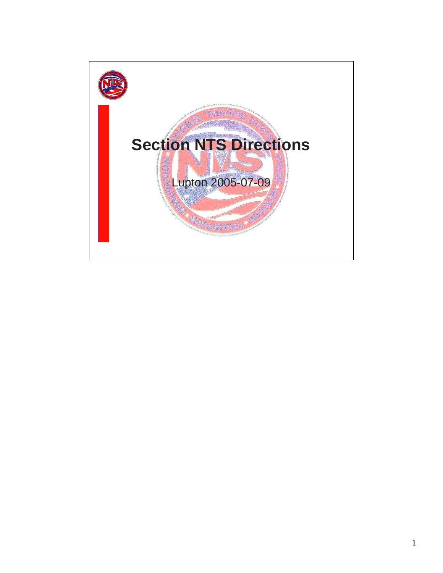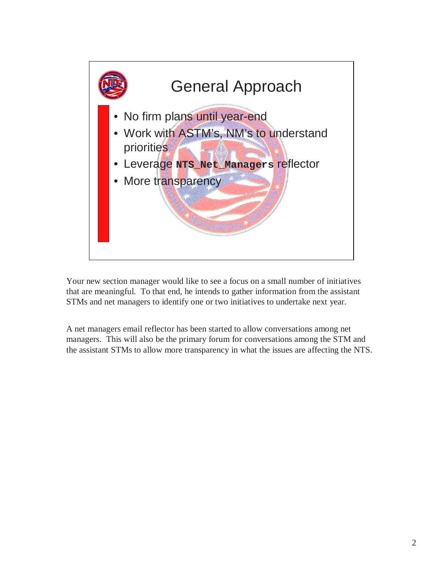

Your new section manager would like to see a focus on a small number of initiatives that are meaningful. To that end, he intends to gather information from the assistant STMs and net managers to identify one or two initiatives to undertake next year.

A net managers email reflector has been started to allow conversations among net managers. This will also be the primary forum for conversations among the STM and the assistant STMs to allow more transparency in what the issues are affecting the NTS.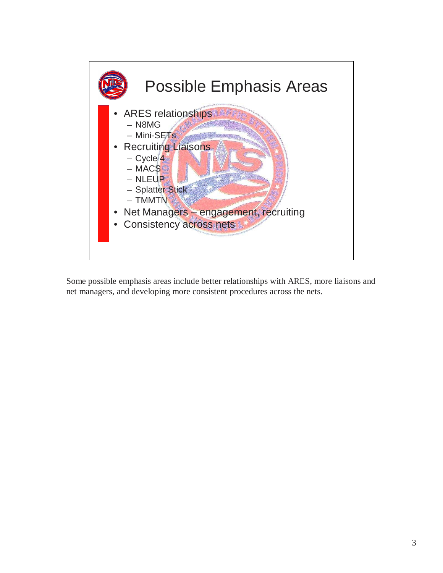

Some possible emphasis areas include better relationships with ARES, more liaisons and net managers, and developing more consistent procedures across the nets.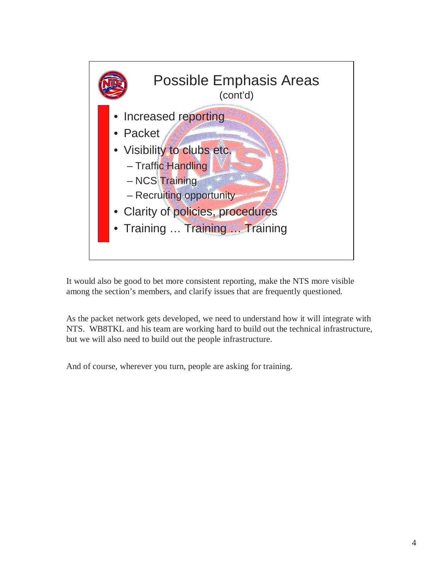

It would also be good to bet more consistent reporting, make the NTS more visible among the section's members, and clarify issues that are frequently questioned.

As the packet network gets developed, we need to understand how it will integrate with NTS. WB8TKL and his team are working hard to build out the technical infrastructure, but we will also need to build out the people infrastructure.

And of course, wherever you turn, people are asking for training.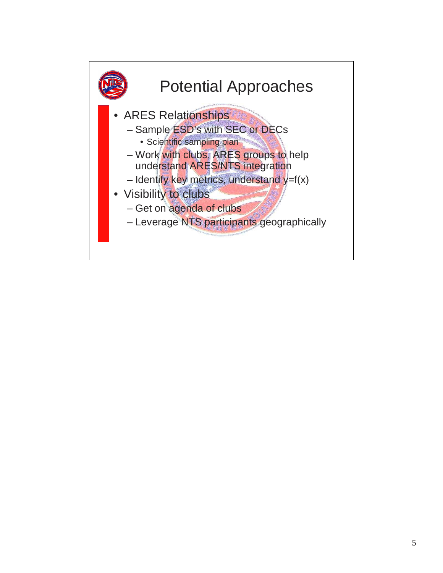